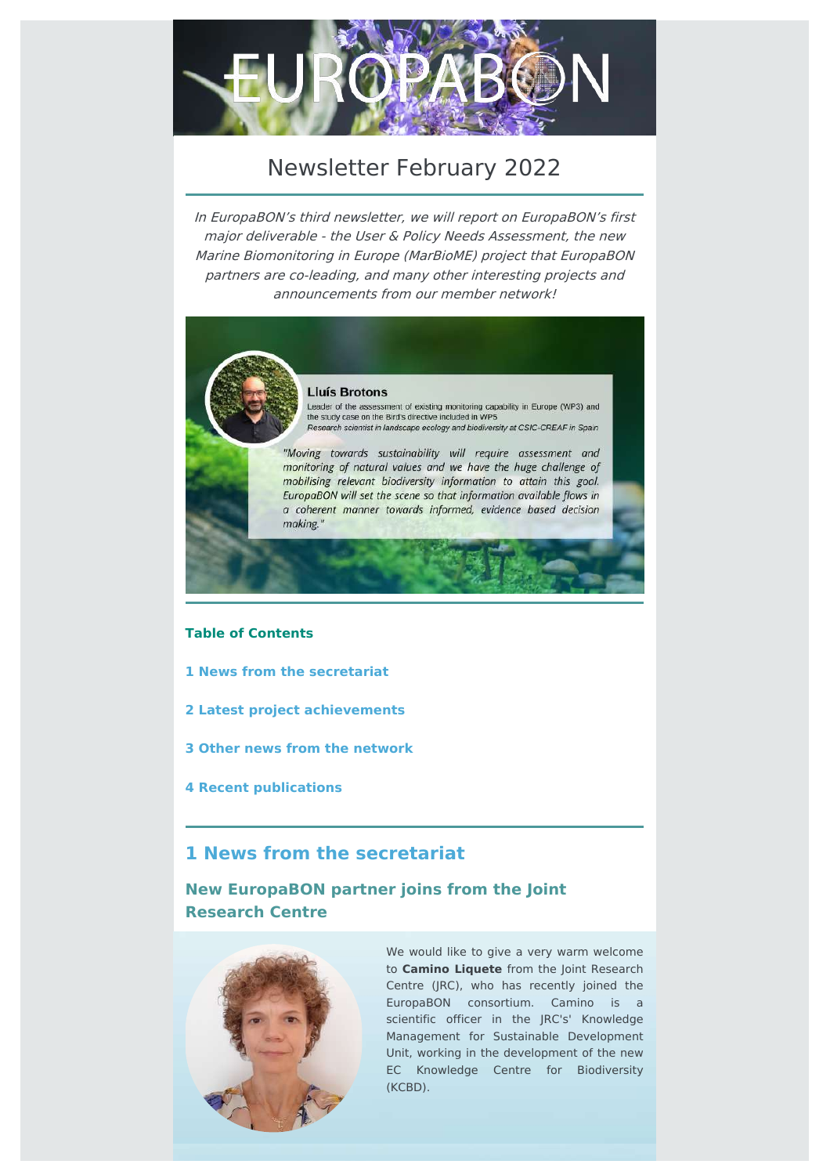

# Newsletter February 2022

In EuropaBON's third newsletter, we will report on EuropaBON's first major deliverable - the User & Policy Needs Assessment, the new Marine Biomonitoring in Europe (MarBioME) project that EuropaBON partners are co-leading, and many other interesting projects and announcements from our member network!



#### **Lluís Brotons**

Leader of the assessment of existing monitoring capability in Europe (WP3) and the study case on the Bird's directive included in WP5 Research scientist in landscape ecology and biodiversity at CSIC-CREAF in Spain

"Moving towards sustainability will require assessment and monitoring of natural values and we have the huge challenge of mobilising relevant biodiversity information to attain this goal. EuropaBON will set the scene so that information available flows in a coherent manner towards informed, evidence based decision making.'

#### **Table of Contents**

- **1 News from the [secretariat](file:///var/www/html/public/CAMPAIGN_11.html#Anker1)**
- **2 Latest project [achievements](file:///var/www/html/public/CAMPAIGN_11.html#Anker2)**
- **3 Other news from the [network](file:///var/www/html/public/CAMPAIGN_11.html#Anker3)**
- **4 Recent [publications](file:///var/www/html/public/CAMPAIGN_11.html#Anker4)**

# **1 News from the secretariat**

**New EuropaBON partner joins from the Joint Research Centre**



We would like to give a very warm welcome to **Camino Liquete** from the Joint Research Centre (JRC), who has recently joined the EuropaBON consortium. Camino is a scientific officer in the JRC's' Knowledge Management for Sustainable Development Unit, working in the development of the new EC Knowledge Centre for Biodiversity (KCBD).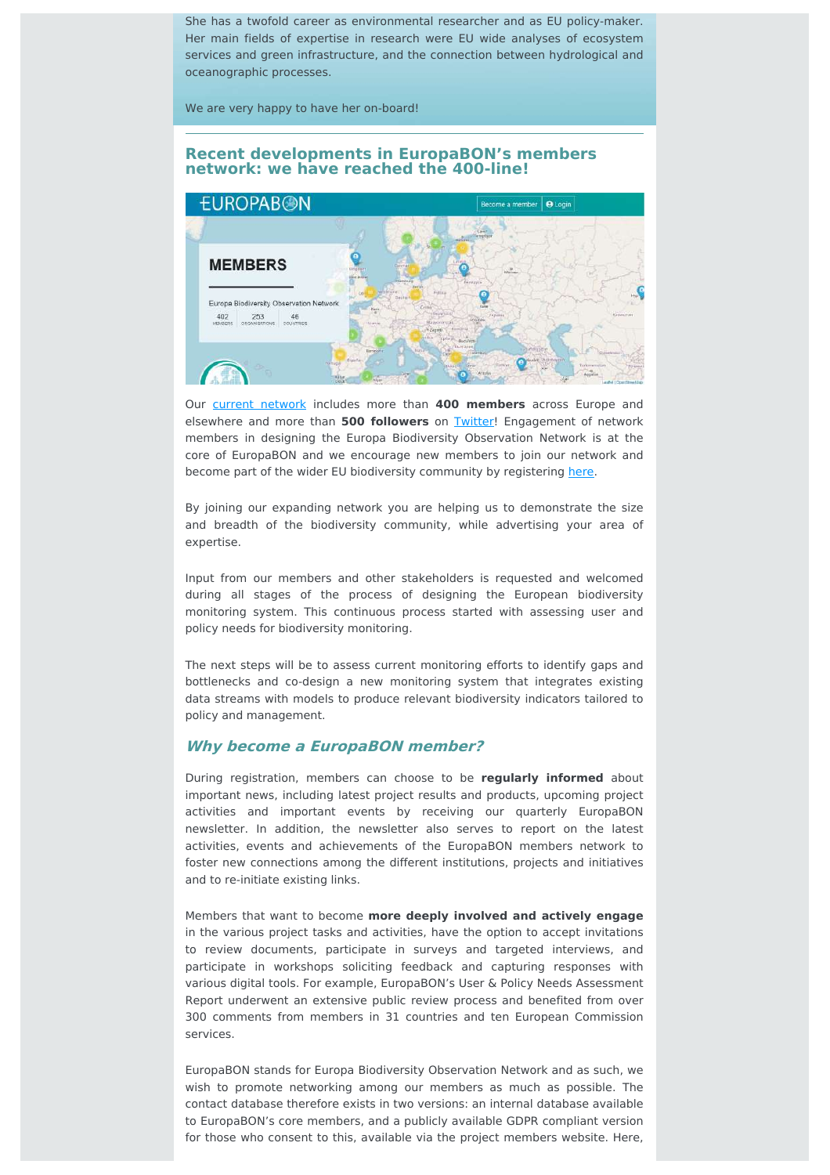She has a twofold career as environmental researcher and as EU policy-maker. Her main fields of expertise in research were EU wide analyses of ecosystem services and green infrastructure, and the connection between hydrological and oceanographic processes.

We are very happy to have her on-board!

#### **Recent developments in EuropaBON's members network: we have reached the 400-line!**



Our current [network](https://europabon.org/members/home) includes more than **400 members** across Europe and elsewhere and more than **500 followers** on [Twitter](https://twitter.com/EuropaBon_H2020)! Engagement of network members in designing the Europa Biodiversity Observation Network is at the core of EuropaBON and we encourage new members to join our network and become part of the wider EU biodiversity community by registering [here.](https://europabon.org/register/)

By joining our expanding network you are helping us to demonstrate the size and breadth of the biodiversity community, while advertising your area of expertise.

Input from our members and other stakeholders is requested and welcomed during all stages of the process of designing the European biodiversity monitoring system. This continuous process started with assessing user and policy needs for biodiversity monitoring.

The next steps will be to assess current monitoring efforts to identify gaps and bottlenecks and co-design a new monitoring system that integrates existing data streams with models to produce relevant biodiversity indicators tailored to policy and management.

#### **Why become <sup>a</sup> EuropaBON member?**

During registration, members can choose to be **regularly informed** about important news, including latest project results and products, upcoming project activities and important events by receiving our quarterly EuropaBON newsletter. In addition, the newsletter also serves to report on the latest activities, events and achievements of the EuropaBON members network to foster new connections among the different institutions, projects and initiatives and to re-initiate existing links.

Members that want to become **more deeply involved and actively engage** in the various project tasks and activities, have the option to accept invitations to review documents, participate in surveys and targeted interviews, and participate in workshops soliciting feedback and capturing responses with various digital tools. For example, EuropaBON's User & Policy Needs Assessment Report underwent an extensive public review process and benefited from over 300 comments from members in 31 countries and ten European Commission services.

EuropaBON stands for Europa Biodiversity Observation Network and as such, we wish to promote networking among our members as much as possible. The contact database therefore exists in two versions: an internal database available to EuropaBON's core members, and a publicly available GDPR compliant version for those who consent to this, available via the project members website. Here,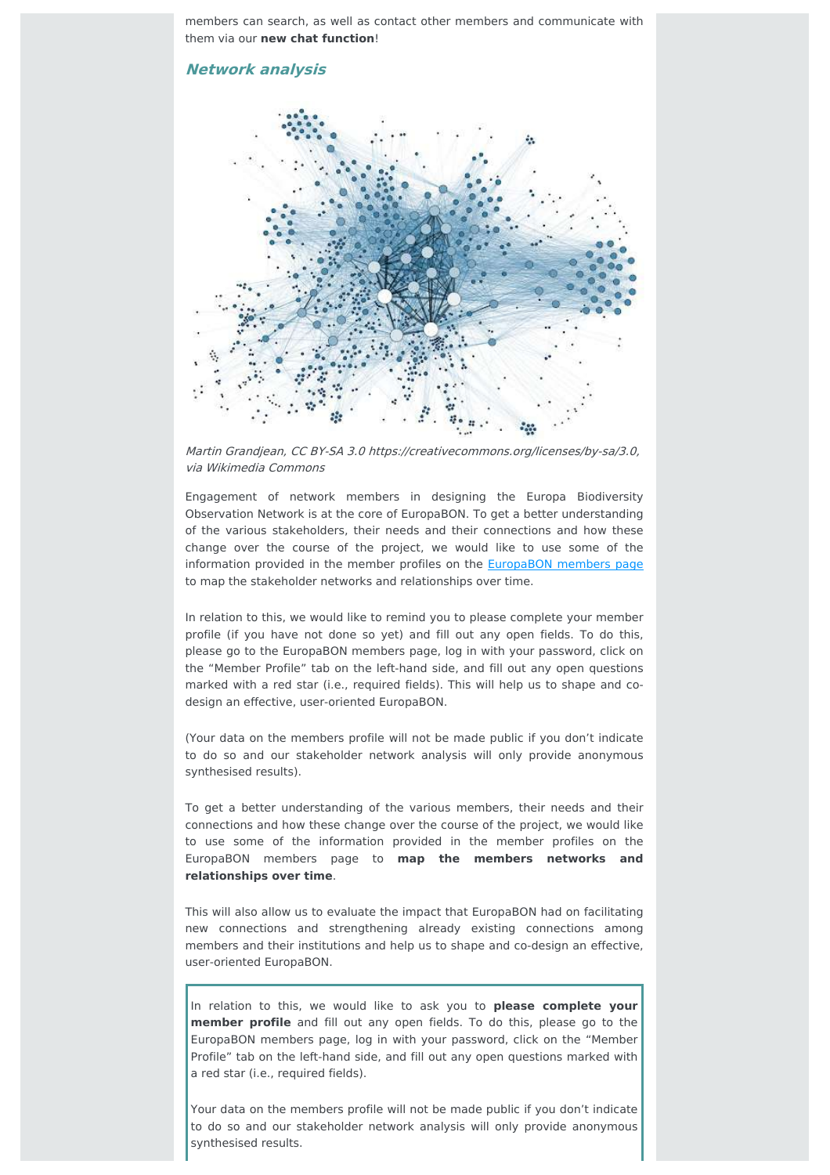members can search, as well as contact other members and communicate with them via our **new chat function**!

#### **Network analysis**



Martin Grandjean, CC BY-SA 3.0 https://creativecommons.org/licenses/by-sa/3.0, via Wikimedia Commons

Engagement of network members in designing the Europa Biodiversity Observation Network is at the core of EuropaBON. To get a better understanding of the various stakeholders, their needs and their connections and how these change over the course of the project, we would like to use some of the information provided in the member profiles on the [EuropaBON](https://europabon.org/members/home) members page to map the stakeholder networks and relationships over time.

In relation to this, we would like to remind you to please complete your member profile (if you have not done so yet) and fill out any open fields. To do this, please go to the EuropaBON members page, log in with your password, click on the "Member Profile" tab on the left-hand side, and fill out any open questions marked with a red star (i.e., required fields). This will help us to shape and codesign an effective, user-oriented EuropaBON.

(Your data on the members profile will not be made public if you don't indicate to do so and our stakeholder network analysis will only provide anonymous synthesised results).

To get a better understanding of the various members, their needs and their connections and how these change over the course of the project, we would like to use some of the information provided in the member profiles on the EuropaBON members page to **map the members networks and relationships over time**.

This will also allow us to evaluate the impact that EuropaBON had on facilitating new connections and strengthening already existing connections among members and their institutions and help us to shape and co-design an effective, user-oriented EuropaBON.

In relation to this, we would like to ask you to **please complete your member profile** and fill out any open fields. To do this, please go to the EuropaBON members page, log in with your password, click on the "Member Profile" tab on the left-hand side, and fill out any open questions marked with a red star (i.e., required fields).

Your data on the members profile will not be made public if you don't indicate to do so and our stakeholder network analysis will only provide anonymous synthesised results.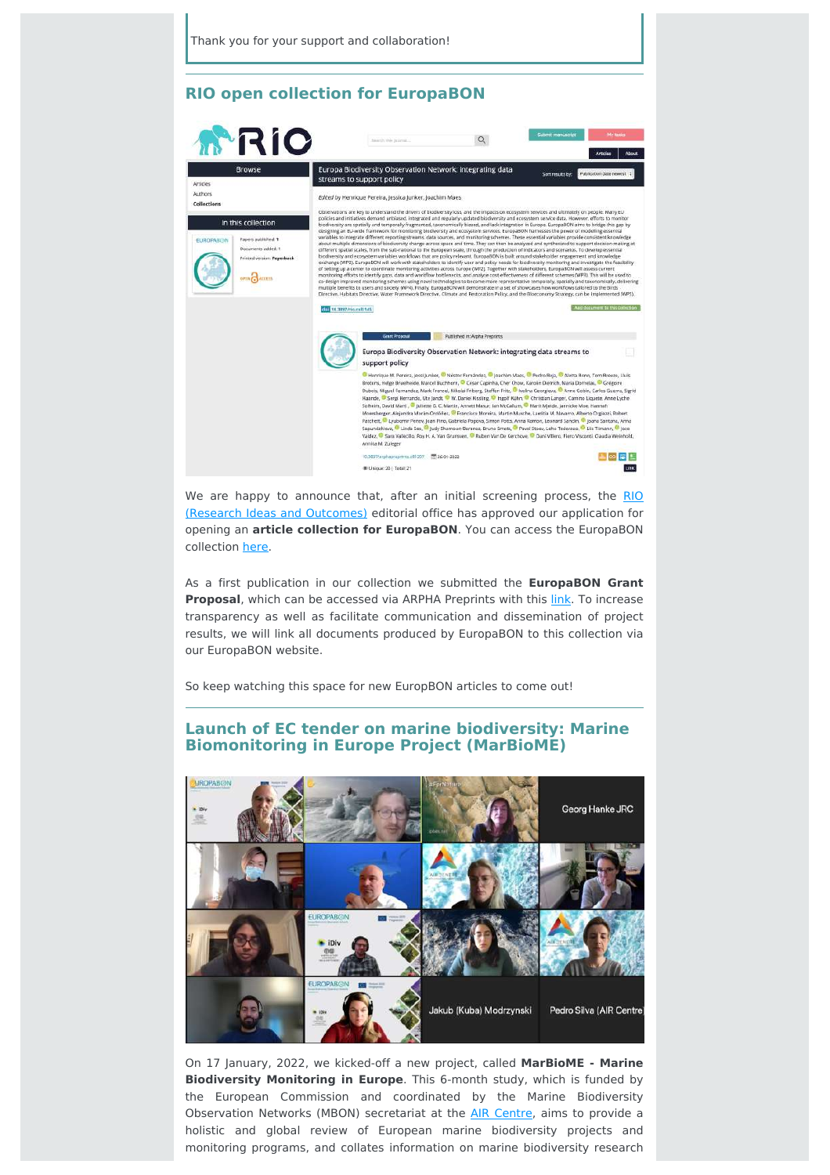#### **RIO open collection for EuropaBON**



We are happy to announce that, after an initial screening process, the RIO (Research Ideas and Outcomes) editorial office has approved our [application](https://riojournal.com/) for opening an **article collection for EuropaBON**. You can access the EuropaBON collection [here.](https://riojournal.com/topical_collection/145/)

As a first publication in our collection we submitted the **EuropaBON Grant Proposal**, which can be accessed via ARPHA Preprints with this *[link](https://preprints.arphahub.com/article/81207/)*. To increase transparency as well as facilitate communication and dissemination of project results, we will link all documents produced by EuropaBON to this collection via our EuropaBON website.

So keep watching this space for new EuropBON articles to come out!

#### **Launch of EC tender on marine biodiversity: Marine Biomonitoring in Europe Project (MarBioME)**



On 17 January, 2022, we kicked-off a new project, called **MarBioME - Marine Biodiversity Monitoring in Europe**. This 6-month study, which is funded by the European Commission and coordinated by the Marine Biodiversity Observation Networks (MBON) secretariat at the AIR [Centre](https://www.aircentre.org/), aims to provide a holistic and global review of European marine biodiversity projects and monitoring programs, and collates information on marine biodiversity research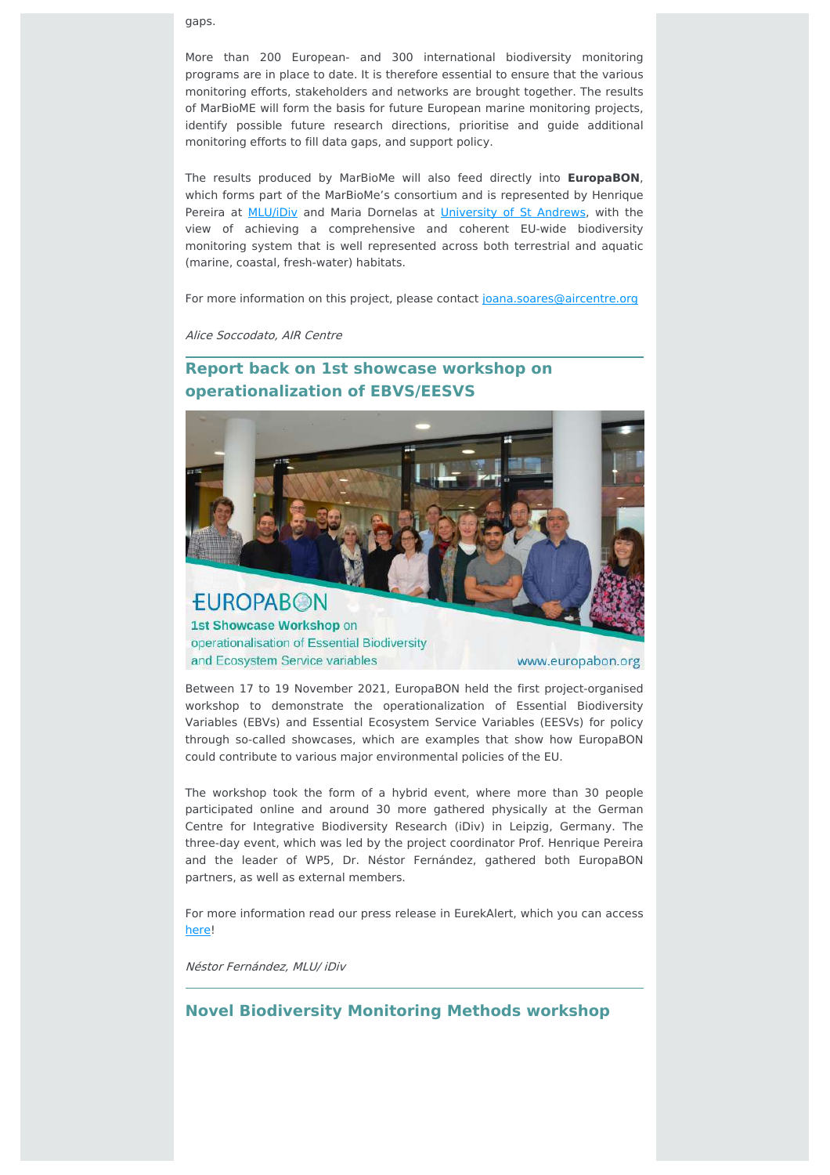gaps.

More than 200 European- and 300 international biodiversity monitoring programs are in place to date. It is therefore essential to ensure that the various monitoring efforts, stakeholders and networks are brought together. The results of MarBioME will form the basis for future European marine monitoring projects, identify possible future research directions, prioritise and guide additional monitoring efforts to fill data gaps, and support policy.

The results produced by MarBioMe will also feed directly into **EuropaBON**, which forms part of the MarBioMe's consortium and is represented by Henrique Pereira at **[MLU/iDiv](https://www.idiv.de/en/index.html)** and Maria Dornelas at *[University](https://www.st-andrews.ac.uk/) of St Andrews*, with the view of achieving a comprehensive and coherent EU-wide biodiversity monitoring system that is well represented across both terrestrial and aquatic (marine, coastal, fresh-water) habitats.

For more information on this project, please contact [joana.soares@aircentre.org](mailto:joana.soares@aircentre.org)

Alice Soccodato, AIR Centre

# **Report back on 1st showcase workshop on operationalization of EBVS/EESVS**



1st Showcase Workshop on operationalisation of Essential Biodiversity and Ecosystem Service variables

www.europabon.org

Between 17 to 19 November 2021, EuropaBON held the first project-organised workshop to demonstrate the operationalization of Essential Biodiversity Variables (EBVs) and Essential Ecosystem Service Variables (EESVs) for policy through so-called showcases, which are examples that show how EuropaBON could contribute to various major environmental policies of the EU.

The workshop took the form of a hybrid event, where more than 30 people participated online and around 30 more gathered physically at the German Centre for Integrative Biodiversity Research (iDiv) in Leipzig, Germany. The three-day event, which was led by the project coordinator Prof. Henrique Pereira and the leader of WP5, Dr. Néstor Fernández, gathered both EuropaBON partners, as well as external members.

For more information read our press release in EurekAlert, which you can access [here!](https://www.eurekalert.org/news-releases/938527)

Néstor Fernández, MLU/ iDiv

#### **Novel Biodiversity Monitoring Methods workshop**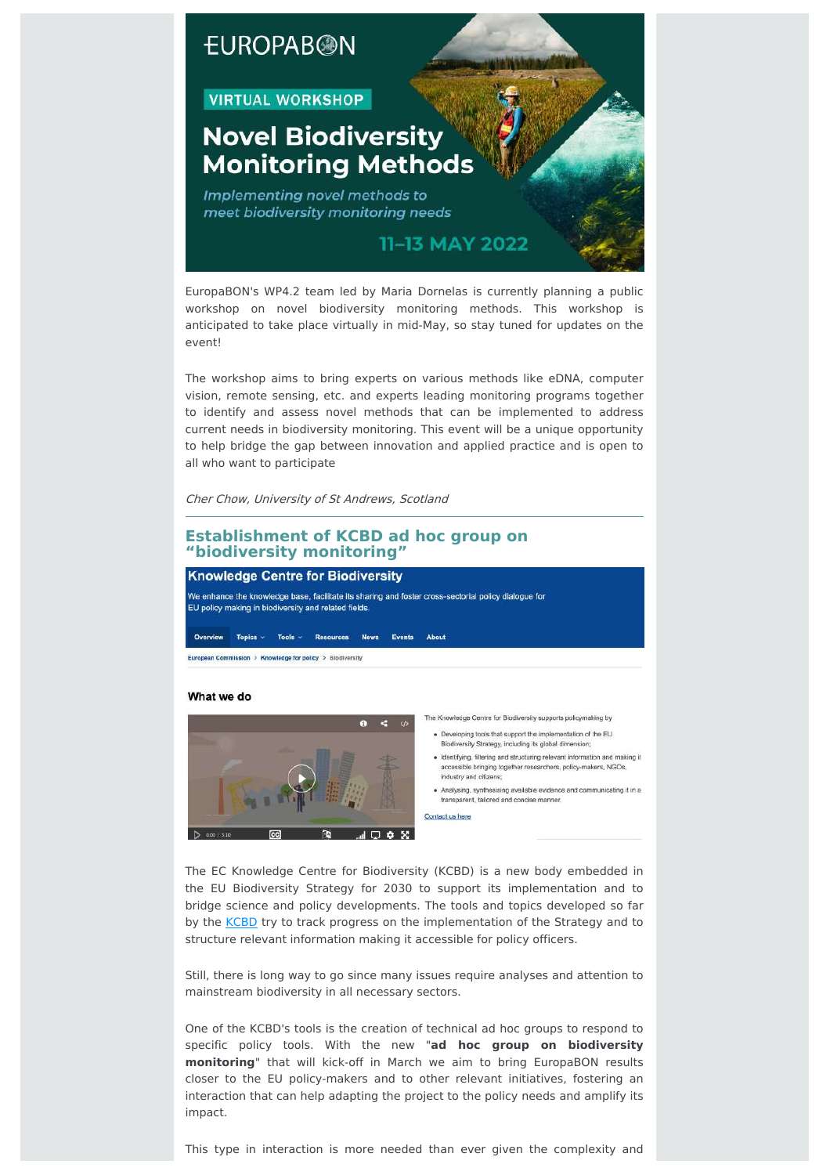# **EUROPABON**

#### **VIRTUAL WORKSHOP**

# **Novel Biodiversity Monitoring Methods**

Implementing novel methods to meet biodiversity monitoring needs



EuropaBON's WP4.2 team led by Maria Dornelas is currently planning a public workshop on novel biodiversity monitoring methods. This workshop is anticipated to take place virtually in mid-May, so stay tuned for updates on the event!

The workshop aims to bring experts on various methods like eDNA, computer vision, remote sensing, etc. and experts leading monitoring programs together to identify and assess novel methods that can be implemented to address current needs in biodiversity monitoring. This event will be a unique opportunity to help bridge the gap between innovation and applied practice and is open to all who want to participate

Cher Chow, University of St Andrews, Scotland

#### **Establishment of KCBD ad hoc group on "biodiversity monitoring"**

#### **Knowledge Centre for Biodiversity**

We enhance the knowledge base, facilitate its sharing and foster cross-sectorial policy dialogue for EU policy making in biodiversity and related fields.

Overview Topics > Tools > Resources News Events About

European Commission > Knowledge for policy > Biodiversity

#### What we do



The Knowledge Centre for Biodiversity supports policymaking by

- . Developing tools that support the implementation of the EU Biodiversity Strategy, including its global dimension,
- · Identifying, filtering and structuring relevant information and making it accessible bringing together researchers, policy-makers, NGOs industry and citizens:
- · Analysing, synthesising available evidence and communicating it in a transparent, tailored and concise manner.

Contact us here

The EC Knowledge Centre for Biodiversity (KCBD) is a new body embedded in the EU Biodiversity Strategy for 2030 to support its implementation and to bridge science and policy developments. The tools and topics developed so far by the [KCBD](https://knowledge4policy.ec.europa.eu/biodiversity_en) try to track progress on the implementation of the Strategy and to structure relevant information making it accessible for policy officers.

Still, there is long way to go since many issues require analyses and attention to mainstream biodiversity in all necessary sectors.

One of the KCBD's tools is the creation of technical ad hoc groups to respond to specific policy tools. With the new "**ad hoc group on biodiversity monitoring**" that will kick-off in March we aim to bring EuropaBON results closer to the EU policy-makers and to other relevant initiatives, fostering an interaction that can help adapting the project to the policy needs and amplify its impact.

This type in interaction is more needed than ever given the complexity and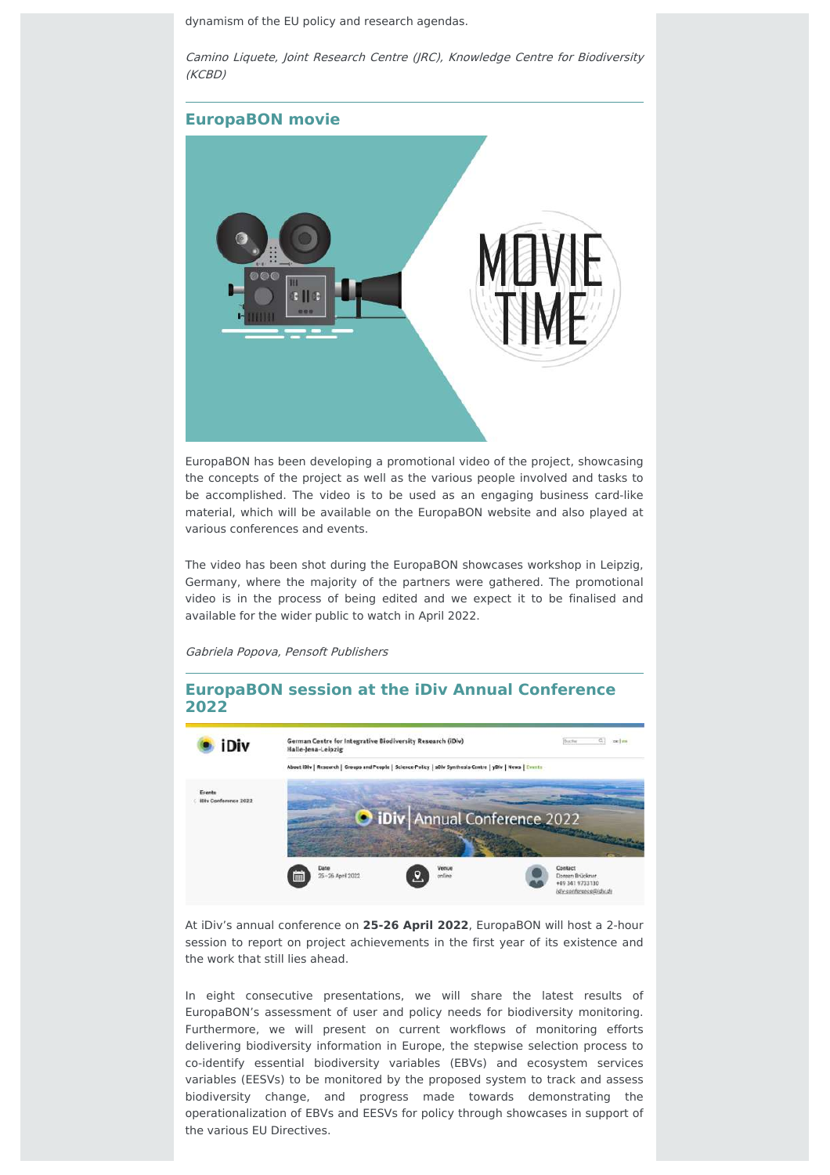dynamism of the EU policy and research agendas.

Camino Liquete, Joint Research Centre (JRC), Knowledge Centre for Biodiversity (KCBD)



EuropaBON has been developing a promotional video of the project, showcasing the concepts of the project as well as the various people involved and tasks to be accomplished. The video is to be used as an engaging business card-like material, which will be available on the EuropaBON website and also played at various conferences and events.

The video has been shot during the EuropaBON showcases workshop in Leipzig, Germany, where the majority of the partners were gathered. The promotional video is in the process of being edited and we expect it to be finalised and available for the wider public to watch in April 2022.

Gabriela Popova, Pensoft Publishers

#### **EuropaBON session at the iDiv Annual Conference 2022**



At iDiv's annual conference on **25-26 April 2022**, EuropaBON will host a 2-hour session to report on project achievements in the first year of its existence and the work that still lies ahead.

In eight consecutive presentations, we will share the latest results of EuropaBON's assessment of user and policy needs for biodiversity monitoring. Furthermore, we will present on current workflows of monitoring efforts delivering biodiversity information in Europe, the stepwise selection process to co-identify essential biodiversity variables (EBVs) and ecosystem services variables (EESVs) to be monitored by the proposed system to track and assess biodiversity change, and progress made towards demonstrating the operationalization of EBVs and EESVs for policy through showcases in support of the various EU Directives.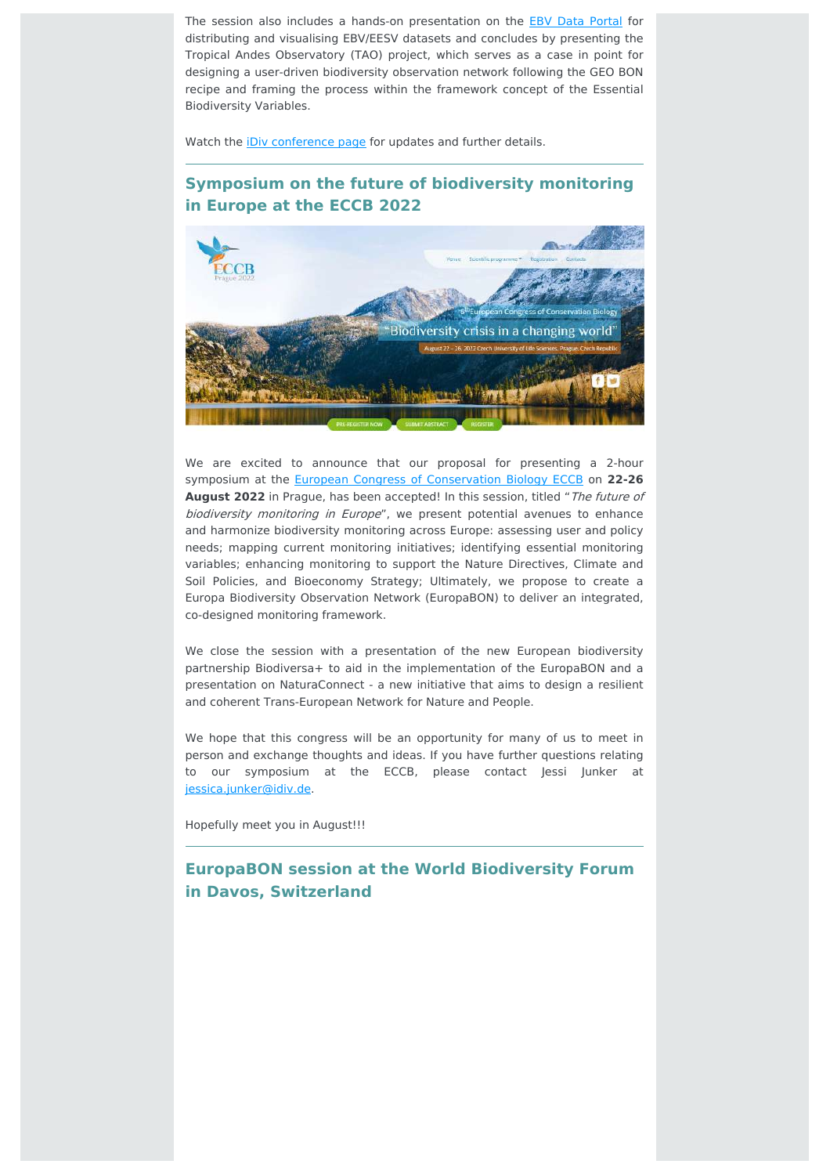The session also includes a hands-on presentation on the **EBV Data [Portal](https://portal.geobon.org/home)** for distributing and visualising EBV/EESV datasets and concludes by presenting the Tropical Andes Observatory (TAO) project, which serves as a case in point for designing a user-driven biodiversity observation network following the GEO BON recipe and framing the process within the framework concept of the Essential Biodiversity Variables.

Watch the *iDiv [conference](https://www.idiv.de/en/idiv-conference-2022.html) page* for updates and further details.

## **Symposium on the future of biodiversity monitoring in Europe at the ECCB 2022**



We are excited to announce that our proposal for presenting a 2-hour symposium at the European Congress of [Conservation](https://www.eccb2022.eu/) Biology ECCB on **22-26 August 2022** in Prague, has been accepted! In this session, titled "The future of biodiversity monitoring in Europe", we present potential avenues to enhance and harmonize biodiversity monitoring across Europe: assessing user and policy needs; mapping current monitoring initiatives; identifying essential monitoring variables; enhancing monitoring to support the Nature Directives, Climate and Soil Policies, and Bioeconomy Strategy; Ultimately, we propose to create a Europa Biodiversity Observation Network (EuropaBON) to deliver an integrated, co-designed monitoring framework.

We close the session with a presentation of the new European biodiversity partnership Biodiversa+ to aid in the implementation of the EuropaBON and a presentation on NaturaConnect - a new initiative that aims to design a resilient and coherent Trans-European Network for Nature and People.

We hope that this congress will be an opportunity for many of us to meet in person and exchange thoughts and ideas. If you have further questions relating to our symposium at the ECCB, please contact Jessi Junker at [jessica.junker@idiv.de.](mailto:jessica.junker@idiv.de)

Hopefully meet you in August!!!

# **EuropaBON session at the World Biodiversity Forum in Davos, Switzerland**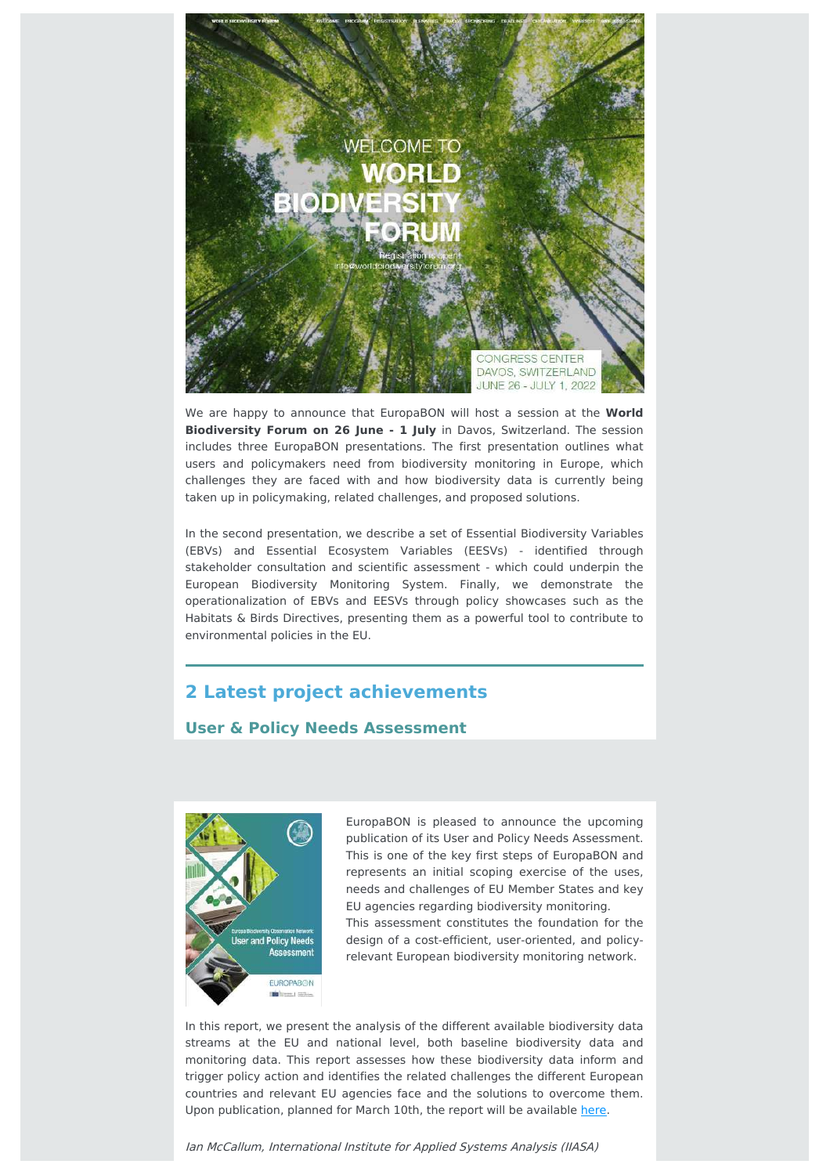

We are happy to announce that EuropaBON will host a session at the **World Biodiversity Forum on 26 June - 1 July** in Davos, Switzerland. The session includes three EuropaBON presentations. The first presentation outlines what users and policymakers need from biodiversity monitoring in Europe, which challenges they are faced with and how biodiversity data is currently being taken up in policymaking, related challenges, and proposed solutions.

In the second presentation, we describe a set of Essential Biodiversity Variables (EBVs) and Essential Ecosystem Variables (EESVs) - identified through stakeholder consultation and scientific assessment - which could underpin the European Biodiversity Monitoring System. Finally, we demonstrate the operationalization of EBVs and EESVs through policy showcases such as the Habitats & Birds Directives, presenting them as a powerful tool to contribute to environmental policies in the EU.

# **2 Latest project achievements**

#### **User & Policy Needs Assessment**



EuropaBON is pleased to announce the upcoming publication of its User and Policy Needs Assessment. This is one of the key first steps of EuropaBON and represents an initial scoping exercise of the uses, needs and challenges of EU Member States and key EU agencies regarding biodiversity monitoring. This assessment constitutes the foundation for the

design of a cost-efficient, user-oriented, and policyrelevant European biodiversity monitoring network.

In this report, we present the analysis of the different available biodiversity data streams at the EU and national level, both baseline biodiversity data and monitoring data. This report assesses how these biodiversity data inform and trigger policy action and identifies the related challenges the different European countries and relevant EU agencies face and the solutions to overcome them. Upon publication, planned for March 10th, the report will be available [here.](https://europabon.org/register/)

Ian McCallum, International Institute for Applied Systems Analysis (IIASA)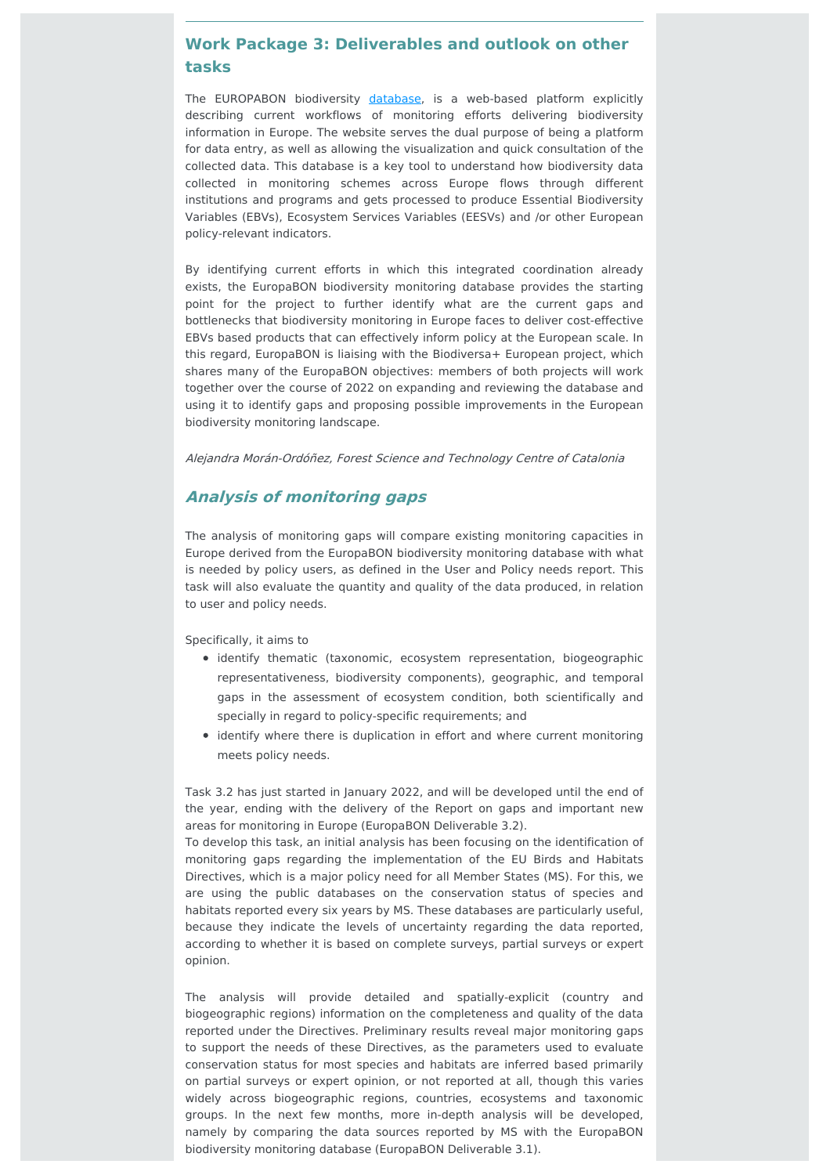## **Work Package 3: Deliverables and outlook on other tasks**

The EUROPABON biodiversity [database,](file:///var/www/html/public/(https://monitoring.europabon.org/) is a web-based platform explicitly describing current workflows of monitoring efforts delivering biodiversity information in Europe. The website serves the dual purpose of being a platform for data entry, as well as allowing the visualization and quick consultation of the collected data. This database is a key tool to understand how biodiversity data collected in monitoring schemes across Europe flows through different institutions and programs and gets processed to produce Essential Biodiversity Variables (EBVs), Ecosystem Services Variables (EESVs) and /or other European policy-relevant indicators.

By identifying current efforts in which this integrated coordination already exists, the EuropaBON biodiversity monitoring database provides the starting point for the project to further identify what are the current gaps and bottlenecks that biodiversity monitoring in Europe faces to deliver cost-effective EBVs based products that can effectively inform policy at the European scale. In this regard, EuropaBON is liaising with the Biodiversa+ European project, which shares many of the EuropaBON objectives: members of both projects will work together over the course of 2022 on expanding and reviewing the database and using it to identify gaps and proposing possible improvements in the European biodiversity monitoring landscape.

Alejandra Morán-Ordóñez, Forest Science and Technology Centre of Catalonia

#### **Analysis of monitoring gaps**

The analysis of monitoring gaps will compare existing monitoring capacities in Europe derived from the EuropaBON biodiversity monitoring database with what is needed by policy users, as defined in the User and Policy needs report. This task will also evaluate the quantity and quality of the data produced, in relation to user and policy needs.

Specifically, it aims to

- identify thematic (taxonomic, ecosystem representation, biogeographic representativeness, biodiversity components), geographic, and temporal gaps in the assessment of ecosystem condition, both scientifically and specially in regard to policy-specific requirements; and
- identify where there is duplication in effort and where current monitoring meets policy needs.

Task 3.2 has just started in January 2022, and will be developed until the end of the year, ending with the delivery of the Report on gaps and important new areas for monitoring in Europe (EuropaBON Deliverable 3.2).

To develop this task, an initial analysis has been focusing on the identification of monitoring gaps regarding the implementation of the EU Birds and Habitats Directives, which is a major policy need for all Member States (MS). For this, we are using the public databases on the conservation status of species and habitats reported every six years by MS. These databases are particularly useful, because they indicate the levels of uncertainty regarding the data reported, according to whether it is based on complete surveys, partial surveys or expert opinion.

The analysis will provide detailed and spatially-explicit (country and biogeographic regions) information on the completeness and quality of the data reported under the Directives. Preliminary results reveal major monitoring gaps to support the needs of these Directives, as the parameters used to evaluate conservation status for most species and habitats are inferred based primarily on partial surveys or expert opinion, or not reported at all, though this varies widely across biogeographic regions, countries, ecosystems and taxonomic groups. In the next few months, more in-depth analysis will be developed, namely by comparing the data sources reported by MS with the EuropaBON biodiversity monitoring database (EuropaBON Deliverable 3.1).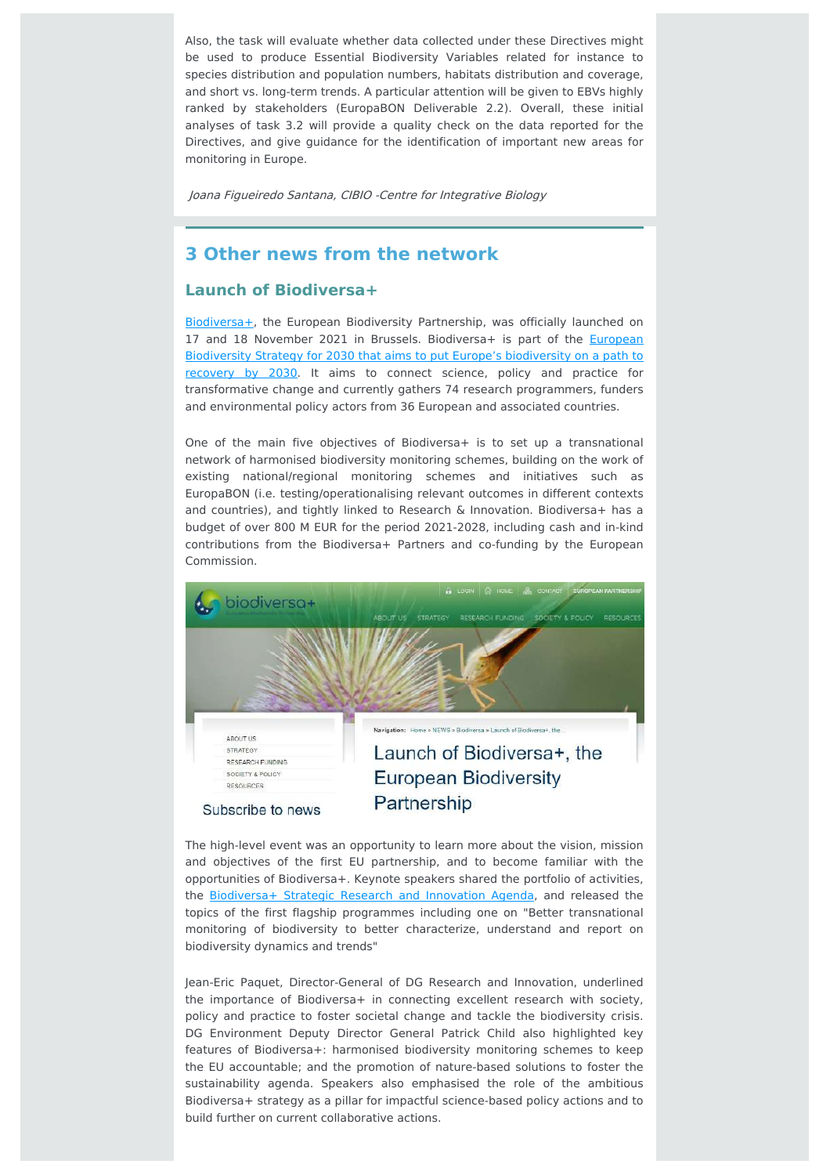Also, the task will evaluate whether data collected under these Directives might be used to produce Essential Biodiversity Variables related for instance to species distribution and population numbers, habitats distribution and coverage, and short vs. long-term trends. A particular attention will be given to EBVs highly ranked by stakeholders (EuropaBON Deliverable 2.2). Overall, these initial analyses of task 3.2 will provide a quality check on the data reported for the Directives, and give guidance for the identification of important new areas for monitoring in Europe.

Joana Figueiredo Santana, CIBIO -Centre for Integrative Biology

## **3 Other news from the network**

#### **Launch of Biodiversa+**

[Biodiversa+,](https://www.biodiversa.org/2) the European Biodiversity Partnership, was officially launched on 17 and 18 November 2021 in Brussels. [Biodiversa+](https://ec.europa.eu/environment/strategy/biodiversity-strategy-2030_en) is part of the **European** Biodiversity Strategy for 2030 that aims to put Europe's biodiversity on a path to recovery by 2030. It aims to connect science, policy and practice for transformative change and currently gathers 74 research programmers, funders and environmental policy actors from 36 European and associated countries.

One of the main five objectives of Biodiversa+ is to set up a transnational network of harmonised biodiversity monitoring schemes, building on the work of existing national/regional monitoring schemes and initiatives such as EuropaBON (i.e. testing/operationalising relevant outcomes in different contexts and countries), and tightly linked to Research & Innovation. Biodiversa+ has a budget of over 800 M EUR for the period 2021-2028, including cash and in-kind contributions from the Biodiversa+ Partners and co-funding by the European Commission.



The high-level event was an opportunity to learn more about the vision, mission and objectives of the first EU partnership, and to become familiar with the opportunities of Biodiversa+. Keynote speakers shared the portfolio of activities, the [Biodiversa+](https://www.biodiversa.org/1960) Strategic Research and Innovation Agenda, and released the topics of the first flagship programmes including one on "Better transnational monitoring of biodiversity to better characterize, understand and report on biodiversity dynamics and trends"

Jean-Eric Paquet, Director-General of DG Research and Innovation, underlined the importance of Biodiversa+ in connecting excellent research with society, policy and practice to foster societal change and tackle the biodiversity crisis. DG Environment Deputy Director General Patrick Child also highlighted key features of Biodiversa+: harmonised biodiversity monitoring schemes to keep the EU accountable; and the promotion of nature-based solutions to foster the sustainability agenda. Speakers also emphasised the role of the ambitious Biodiversa+ strategy as a pillar for impactful science-based policy actions and to build further on current collaborative actions.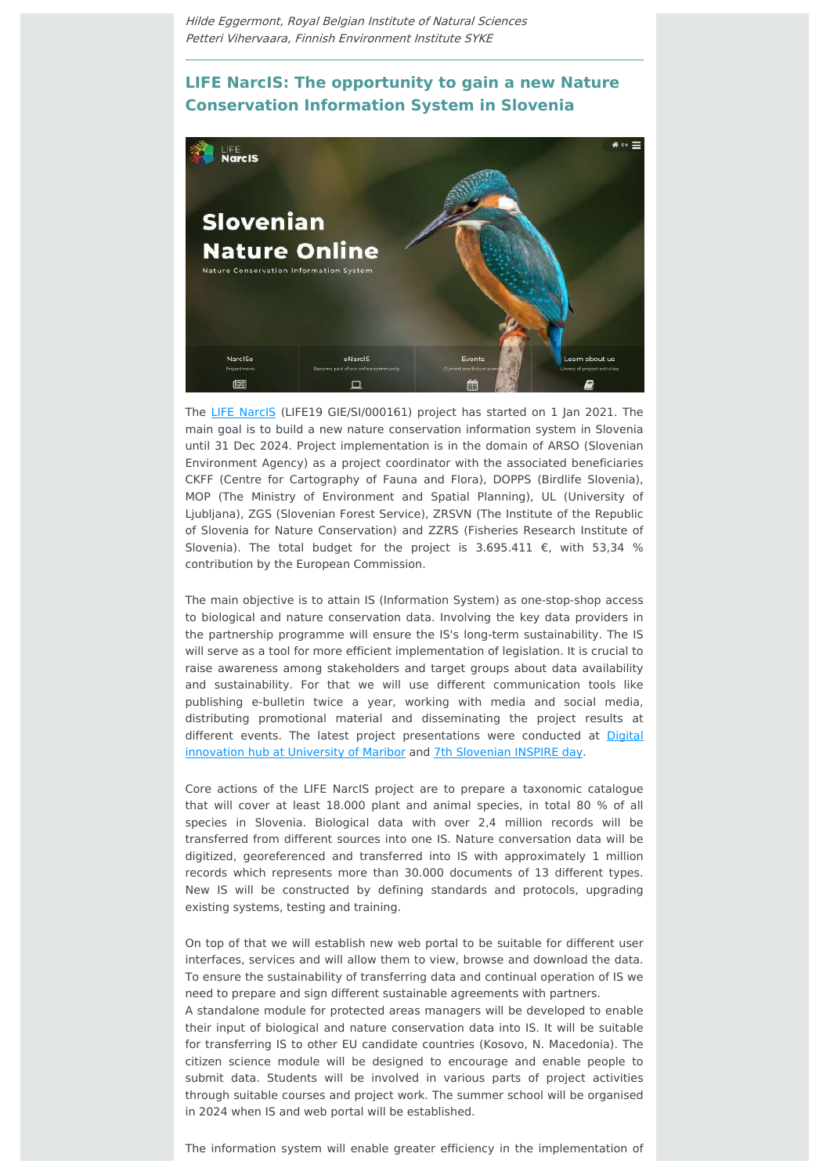Hilde Eggermont, Royal Belgian Institute of Natural Sciences Petteri Vihervaara, Finnish Environment Institute SYKE

## **LIFE NarcIS: The opportunity to gain a new Nature Conservation Information System in Slovenia**



The LIFE [NarcIS](https://narcis.si/) (LIFE19 GIE/SI/000161) project has started on 1 Jan 2021. The main goal is to build a new nature conservation information system in Slovenia until 31 Dec 2024. Project implementation is in the domain of ARSO (Slovenian Environment Agency) as a project coordinator with the associated beneficiaries CKFF (Centre for Cartography of Fauna and Flora), DOPPS (Birdlife Slovenia), MOP (The Ministry of Environment and Spatial Planning), UL (University of Ljubljana), ZGS (Slovenian Forest Service), ZRSVN (The Institute of the Republic of Slovenia for Nature Conservation) and ZZRS (Fisheries Research Institute of Slovenia). The total budget for the project is 3.695.411  $\epsilon$ , with 53,34 % contribution by the European Commission.

The main objective is to attain IS (Information System) as one-stop-shop access to biological and nature conservation data. Involving the key data providers in the partnership programme will ensure the IS's long-term sustainability. The IS will serve as a tool for more efficient implementation of legislation. It is crucial to raise awareness among stakeholders and target groups about data availability and sustainability. For that we will use different communication tools like publishing e-bulletin twice a year, working with media and social media, distributing promotional material and disseminating the project results at different events. The latest project [presentations](https://eu2021.dihslovenia.si/events/kako-lahko-digitalizacija-prispeva-k-ucinkovitejsem-varstvu-narave/) were conducted at Digital innovation hub at University of Maribor and 7th [Slovenian](https://www.youtube.com/watch?v=_OIDpOsZZFE&list=PLiI278Kn93lMw7bb4JtItcaGvYUGSoGhp&index=10) INSPIRE day.

Core actions of the LIFE NarcIS project are to prepare a taxonomic catalogue that will cover at least 18.000 plant and animal species, in total 80 % of all species in Slovenia. Biological data with over 2,4 million records will be transferred from different sources into one IS. Nature conversation data will be digitized, georeferenced and transferred into IS with approximately 1 million records which represents more than 30.000 documents of 13 different types. New IS will be constructed by defining standards and protocols, upgrading existing systems, testing and training.

On top of that we will establish new web portal to be suitable for different user interfaces, services and will allow them to view, browse and download the data. To ensure the sustainability of transferring data and continual operation of IS we need to prepare and sign different sustainable agreements with partners.

A standalone module for protected areas managers will be developed to enable their input of biological and nature conservation data into IS. It will be suitable for transferring IS to other EU candidate countries (Kosovo, N. Macedonia). The citizen science module will be designed to encourage and enable people to submit data. Students will be involved in various parts of project activities through suitable courses and project work. The summer school will be organised in 2024 when IS and web portal will be established.

The information system will enable greater efficiency in the implementation of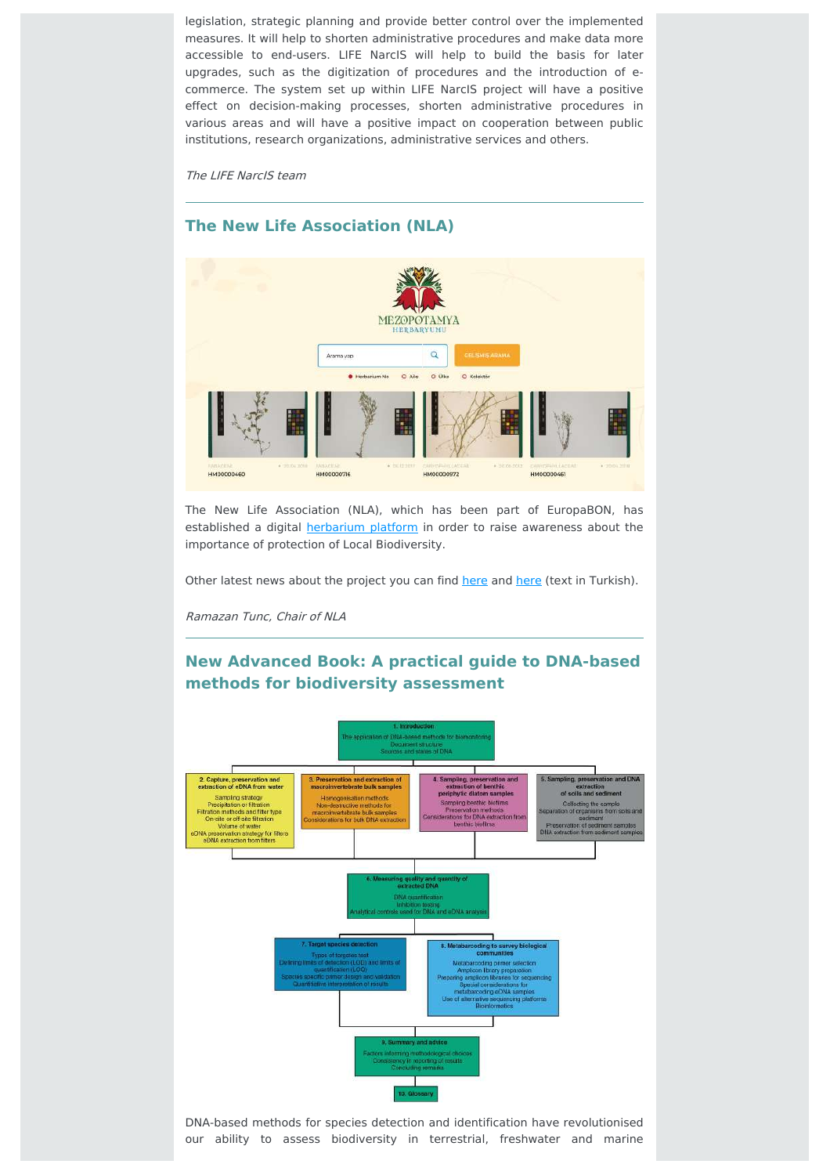legislation, strategic planning and provide better control over the implemented measures. It will help to shorten administrative procedures and make data more accessible to end-users. LIFE NarcIS will help to build the basis for later upgrades, such as the digitization of procedures and the introduction of ecommerce. The system set up within LIFE NarcIS project will have a positive effect on decision-making processes, shorten administrative procedures in various areas and will have a positive impact on cooperation between public institutions, research organizations, administrative services and others.

The LIFE NarcIS team



#### **The New Life Association (NLA)**

The New Life Association (NLA), which has been part of EuropaBON, has established a digital **[herbarium](https://www.mezopotamyaherbaryumu.com/) platform** in order to raise awareness about the importance of protection of Local Biodiversity.

Other latest news about the project you can find [here](http://mezopotamyaajansi35.com/tum-haberler/content/view/152742) and here (text in Turkish).

Ramazan Tunc, Chair of NLA

# **New Advanced Book: A practical guide to DNA-based methods for biodiversity assessment**



DNA-based methods for species detection and identification have revolutionised our ability to assess biodiversity in terrestrial, freshwater and marine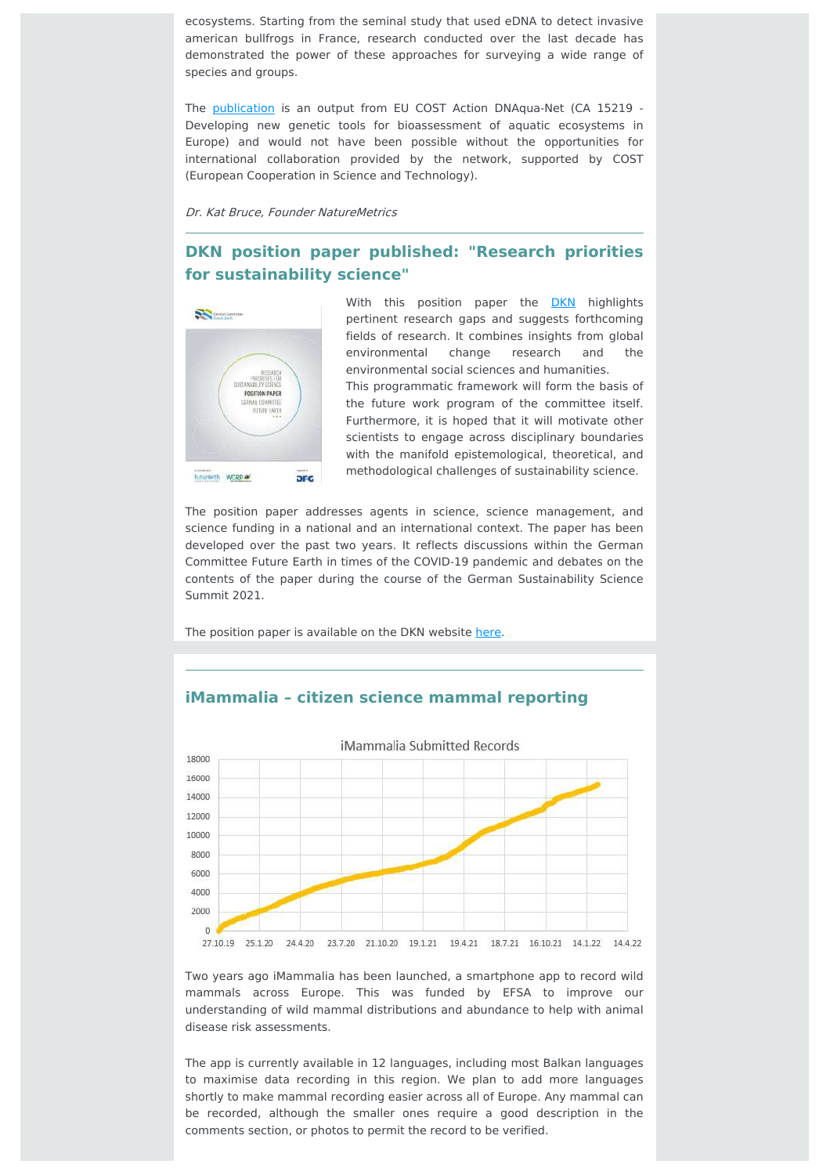ecosystems. Starting from the seminal study that used eDNA to detect invasive american bullfrogs in France, research conducted over the last decade has demonstrated the power of these approaches for surveying a wide range of species and groups.

The [publication](https://ab.pensoft.net/article/68634/) is an output from EU COST Action DNAqua-Net (CA 15219 -Developing new genetic tools for bioassessment of aquatic ecosystems in Europe) and would not have been possible without the opportunities for international collaboration provided by the network, supported by COST (European Cooperation in Science and Technology).

Dr. Kat Bruce, Founder NatureMetrics

## **DKN position paper published: "Research priorities for sustainability science"**



With this position paper the [DKN](https://www.dkn-future-earth.org/index.php.en) highlights pertinent research gaps and suggests forthcoming fields of research. It combines insights from global environmental change research and the environmental social sciences and humanities.

This programmatic framework will form the basis of the future work program of the committee itself. Furthermore, it is hoped that it will motivate other scientists to engage across disciplinary boundaries with the manifold epistemological, theoretical, and methodological challenges of sustainability science.

The position paper addresses agents in science, science management, and science funding in a national and an international context. The paper has been developed over the past two years. It reflects discussions within the German Committee Future Earth in times of the COVID-19 pandemic and debates on the contents of the paper during the course of the German Sustainability Science Summit 2021.

The position paper is available on the DKN website [here](https://www.dkn-future-earth.org/imperia/md/content/dkn/dkn_positionpaper_2022_02.pdf).

#### **iMammalia – citizen science mammal reporting**



Two years ago iMammalia has been launched, a smartphone app to record wild mammals across Europe. This was funded by EFSA to improve our understanding of wild mammal distributions and abundance to help with animal disease risk assessments.

The app is currently available in 12 languages, including most Balkan languages to maximise data recording in this region. We plan to add more languages shortly to make mammal recording easier across all of Europe. Any mammal can be recorded, although the smaller ones require a good description in the comments section, or photos to permit the record to be verified.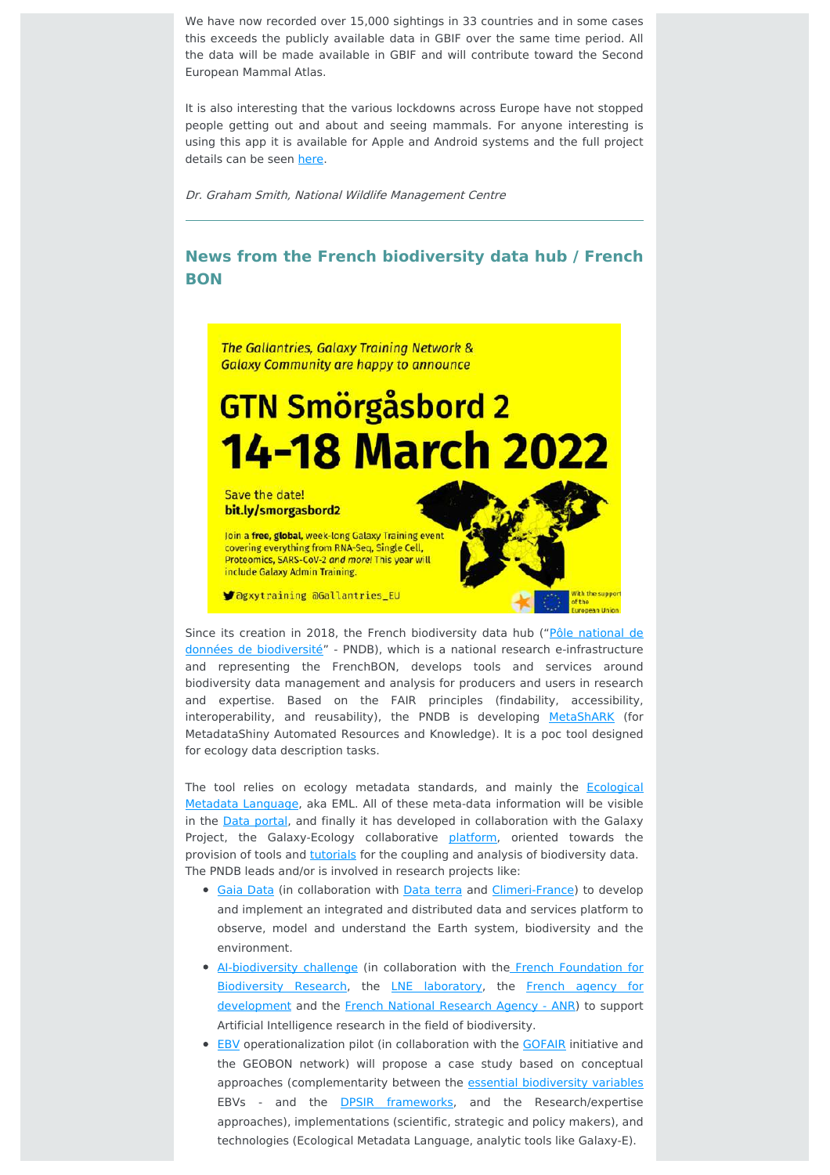We have now recorded over 15,000 sightings in 33 countries and in some cases this exceeds the publicly available data in GBIF over the same time period. All the data will be made available in GBIF and will contribute toward the Second European Mammal Atlas.

It is also interesting that the various lockdowns across Europe have not stopped people getting out and about and seeing mammals. For anyone interesting is using this app it is available for Apple and Android systems and the full project details can be seen [here.](https://mammalnet.com/)

Dr. Graham Smith, National Wildlife Management Centre

## **News from the French biodiversity data hub / French BON**

The Gallantries, Galaxy Training Network & **Galaxy Community are happy to announce** 

# **GTN Smörgåsbord 2 14-18 March 2022**

Save the date! bit.ly/smorgasbord2

Join a free, global, week-long Galaxy Training event covering everything from RNA-Seq, Single Cell Proteomics, SARS-CoV-2 and more! This year will include Galaxy Admin Training.

**Sagxytraining aGallantries\_EU** 

Since its creation in 2018, the French biodiversity data hub ("Pôle national de données de biodiversité" - PNDB), which is a national research [e-infrastructure](https://www.pndb.fr/) and representing the FrenchBON, develops tools and services around biodiversity data management and analysis for producers and users in research and expertise. Based on the FAIR principles (findability, accessibility, interoperability, and reusability), the PNDB is developing [MetaShARK](https://metashark.pndb.fr/) (for MetadataShiny Automated Resources and Knowledge). It is a poc tool designed for ecology data description tasks.

The tool relies on ecology metadata standards, and mainly the **Ecological** Metadata Language, aka EML. All of these meta-data [information](https://eml.ecoinformatics.org/) will be visible in the Data [portal](https://data.pndb.fr/), and finally it has developed in collaboration with the Galaxy Project, the Galaxy-Ecology collaborative [platform](https://ecology.usegalaxy.eu/), oriented towards the provision of tools and [tutorials](https://training.galaxyproject.org/training-material/topics/ecology/) for the coupling and analysis of biodiversity data. The PNDB leads and/or is involved in research projects like:

- **Gaia [Data](https://www.data-terra.org/en/scientific-and-technical-projects/national-projects/pia-future-investment-programme-projects/)** (in collaboration with Data [terra](https://www.data-terra.org/en/accueil/) and [Climeri-France](https://climeri-france.fr/)) to develop and implement an integrated and distributed data and services platform to observe, model and understand the Earth system, biodiversity and the environment.
- [AI-biodiversity](https://anr.fr/en/call-for-proposals-details/call/challenge-ia-biodiv-research-in-artificial-intelligence-in-the-field-of-biodiversity/) challenge (in collaboration with the French Foundation for Biodiversity Research, the LNE [laboratory,](https://www.lne.fr/en) the French agency for [development](https://www.afd.fr/en) and the French National [Research](https://anr.fr/en/) Agency - ANR) to support Artificial Intelligence research in the field of biodiversity.
- **[EBV](https://data.test.pndb.fr/portals/FrEBVDataPortal/FrenchEBVDataPortal)** operationalization pilot (in collaboration with the **[GOFAIR](https://www.go-fair.org/)** initiative and the GEOBON network) will propose a case study based on conceptual approaches (complementarity between the essential [biodiversity](https://geobon.org/ebvs/what-are-ebvs/) variables EBVs - and the **DPSIR frameworks**, and the Research/expertise approaches), implementations (scientific, strategic and policy makers), and technologies (Ecological Metadata Language, analytic tools like Galaxy-E).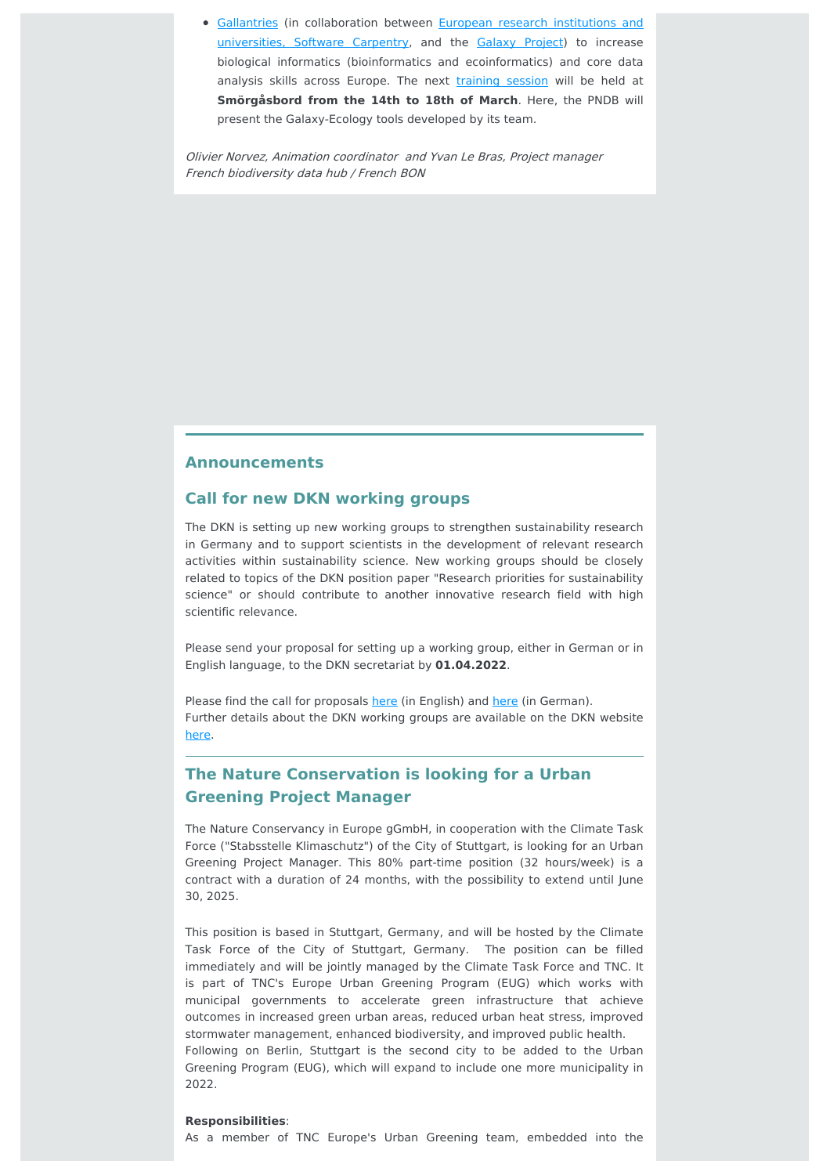**• [Gallantries](https://gallantries.github.io/) (in [collaboration](https://gallantries.github.io/team) between European research institutions and** universities, Software Carpentry, and the Galaxy [Project\)](https://galaxyproject.org/) to increase biological informatics (bioinformatics and ecoinformatics) and core data analysis skills across Europe. The next [training](https://gallantries.github.io/posts/2021/12/14/smorgasbord2-tapas/) session will be held at **Smörgåsbord from the 14th to 18th of March**. Here, the PNDB will present the Galaxy-Ecology tools developed by its team.

Olivier Norvez, Animation coordinator and Yvan Le Bras, Project manager French biodiversity data hub / French BON

#### **Announcements**

#### **Call for new DKN working groups**

The DKN is setting up new working groups to strengthen sustainability research in Germany and to support scientists in the development of relevant research activities within sustainability science. New working groups should be closely related to topics of the DKN position paper "Research priorities for sustainability science" or should contribute to another innovative research field with high scientific relevance.

Please send your proposal for setting up a working group, either in German or in English language, to the DKN secretariat by **01.04.2022**.

Please find the call for proposals [here](https://www.dkn-future-earth.org/imperia/md/assets/dkn/files/dkn_call_arbeitsgruppen_2022_02_de.pdf) (in English) and here (in German). Further details about the DKN working groups are available on the DKN website [here.](https://www.dkn-future-earth.org/activities/working_groups/index.php.en)

# **The Nature Conservation is looking for a Urban Greening Project Manager**

The Nature Conservancy in Europe gGmbH, in cooperation with the Climate Task Force ("Stabsstelle Klimaschutz") of the City of Stuttgart, is looking for an Urban Greening Project Manager. This 80% part-time position (32 hours/week) is a contract with a duration of 24 months, with the possibility to extend until June 30, 2025.

This position is based in Stuttgart, Germany, and will be hosted by the Climate Task Force of the City of Stuttgart, Germany. The position can be filled immediately and will be jointly managed by the Climate Task Force and TNC. It is part of TNC's Europe Urban Greening Program (EUG) which works with municipal governments to accelerate green infrastructure that achieve outcomes in increased green urban areas, reduced urban heat stress, improved stormwater management, enhanced biodiversity, and improved public health. Following on Berlin, Stuttgart is the second city to be added to the Urban

Greening Program (EUG), which will expand to include one more municipality in 2022.

#### **Responsibilities**:

As a member of TNC Europe's Urban Greening team, embedded into the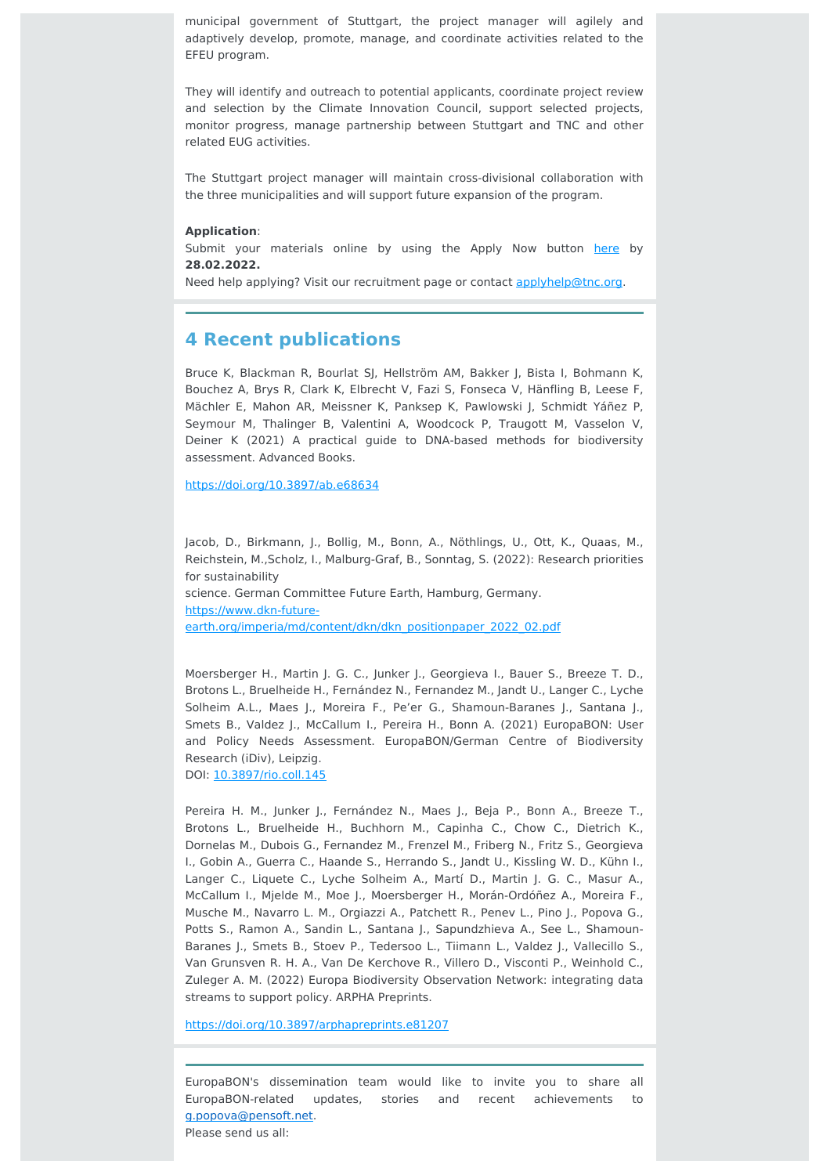municipal government of Stuttgart, the project manager will agilely and adaptively develop, promote, manage, and coordinate activities related to the EFEU program.

They will identify and outreach to potential applicants, coordinate project review and selection by the Climate Innovation Council, support selected projects, monitor progress, manage partnership between Stuttgart and TNC and other related EUG activities.

The Stuttgart project manager will maintain cross-divisional collaboration with the three municipalities and will support future expansion of the program.

#### **Application**:

Submit your materials online by using the Apply Now button [here](https://careers.nature.org/) by **28.02.2022.**

Need help applying? Visit our recruitment page or contact [applyhelp@tnc.org](mailto:applyhelp@tnc.org).

#### **4 Recent publications**

Bruce K, Blackman R, Bourlat SJ, Hellström AM, Bakker J, Bista I, Bohmann K, Bouchez A, Brys R, Clark K, Elbrecht V, Fazi S, Fonseca V, Hänfling B, Leese F, Mächler E, Mahon AR, Meissner K, Panksep K, Pawlowski J, Schmidt Yáñez P, Seymour M, Thalinger B, Valentini A, Woodcock P, Traugott M, Vasselon V, Deiner K (2021) A practical guide to DNA-based methods for biodiversity assessment. Advanced Books.

<https://doi.org/10.3897/ab.e68634>

Jacob, D., Birkmann, J., Bollig, M., Bonn, A., Nöthlings, U., Ott, K., Quaas, M., Reichstein, M.,Scholz, I., Malburg-Graf, B., Sonntag, S. (2022): Research priorities for sustainability science. German Committee Future Earth, Hamburg, Germany. https://www.dkn-future-

[earth.org/imperia/md/content/dkn/dkn\\_positionpaper\\_2022\\_02.pdf](https://www.dkn-future-earth.org/imperia/md/content/dkn/dkn_positionpaper_2022_02.pdf)

Moersberger H., Martin J. G. C., Junker J., Georgieva I., Bauer S., Breeze T. D., Brotons L., Bruelheide H., Fernández N., Fernandez M., Jandt U., Langer C., Lyche Solheim A.L., Maes J., Moreira F., Pe'er G., Shamoun-Baranes J., Santana J., Smets B., Valdez J., McCallum I., Pereira H., Bonn A. (2021) EuropaBON: User and Policy Needs Assessment. EuropaBON/German Centre of Biodiversity Research (iDiv), Leipzig.

DOI: [10.3897/rio.coll.145](https://riojournal.com/topical_collection/145/)

Pereira H. M., Junker J., Fernández N., Maes J., Beja P., Bonn A., Breeze T., Brotons L., Bruelheide H., Buchhorn M., Capinha C., Chow C., Dietrich K., Dornelas M., Dubois G., Fernandez M., Frenzel M., Friberg N., Fritz S., Georgieva I., Gobin A., Guerra C., Haande S., Herrando S., Jandt U., Kissling W. D., Kühn I., Langer C., Liquete C., Lyche Solheim A., Martí D., Martin J. G. C., Masur A., McCallum I., Mjelde M., Moe J., Moersberger H., Morán-Ordóñez A., Moreira F., Musche M., Navarro L. M., Orgiazzi A., Patchett R., Penev L., Pino J., Popova G., Potts S., Ramon A., Sandin L., Santana J., Sapundzhieva A., See L., Shamoun-Baranes J., Smets B., Stoev P., Tedersoo L., Tiimann L., Valdez J., Vallecillo S., Van Grunsven R. H. A., Van De Kerchove R., Villero D., Visconti P., Weinhold C., Zuleger A. M. (2022) Europa Biodiversity Observation Network: integrating data streams to support policy. ARPHA Preprints.

<https://doi.org/10.3897/arphapreprints.e81207>

EuropaBON's dissemination team would like to invite you to share all EuropaBON-related updates, stories and recent achievements to [g.popova@pensoft.net.](mailto:g.popova@pensoft.net) Please send us all: